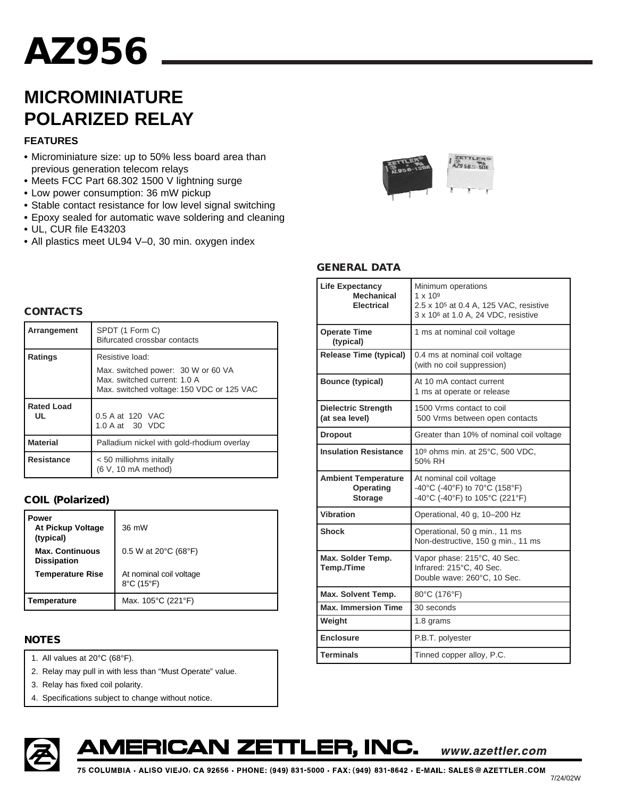# **AZ AZ956**

## **MICROMINIATURE POLARIZED RELAY**

#### **FEATURES**

- **•** Microminiature size: up to 50% less board area than previous generation telecom relays
- **•** Meets FCC Part 68.302 1500 V lightning surge
- **•** Low power consumption: 36 mW pickup
- **•** Stable contact resistance for low level signal switching
- **•** Epoxy sealed for automatic wave soldering and cleaning
- **•** UL, CUR file E43203
- **•** All plastics meet UL94 V–0, 30 min. oxygen index



#### **GENERAL DATA**

| <b>Life Expectancy</b><br><b>Mechanical</b><br><b>Electrical</b> | Minimum operations<br>$1 \times 10^{9}$<br>2.5 x 10 <sup>5</sup> at 0.4 A, 125 VAC, resistive<br>3 x 10 <sup>6</sup> at 1.0 A, 24 VDC, resistive |  |  |  |
|------------------------------------------------------------------|--------------------------------------------------------------------------------------------------------------------------------------------------|--|--|--|
| <b>Operate Time</b><br>(typical)                                 | 1 ms at nominal coil voltage                                                                                                                     |  |  |  |
| <b>Release Time (typical)</b>                                    | 0.4 ms at nominal coil voltage<br>(with no coil suppression)                                                                                     |  |  |  |
| <b>Bounce (typical)</b>                                          | At 10 mA contact current<br>1 ms at operate or release                                                                                           |  |  |  |
| <b>Dielectric Strength</b><br>(at sea level)                     | 1500 Vrms contact to coil<br>500 Vrms between open contacts                                                                                      |  |  |  |
| <b>Dropout</b>                                                   | Greater than 10% of nominal coil voltage                                                                                                         |  |  |  |
| <b>Insulation Resistance</b>                                     | 109 ohms min. at 25°C, 500 VDC,<br>50% RH                                                                                                        |  |  |  |
| <b>Ambient Temperature</b><br><b>Operating</b><br><b>Storage</b> | At nominal coil voltage<br>-40°C (-40°F) to 70°C (158°F)<br>-40°C (-40°F) to 105°C (221°F)                                                       |  |  |  |
| Vibration                                                        | Operational, 40 g, 10-200 Hz                                                                                                                     |  |  |  |
| <b>Shock</b>                                                     | Operational, 50 g min., 11 ms<br>Non-destructive, 150 g min., 11 ms                                                                              |  |  |  |
| Max. Solder Temp.<br>Temp./Time                                  | Vapor phase: 215°C, 40 Sec.<br>Infrared: 215°C, 40 Sec.<br>Double wave: 260°C, 10 Sec.                                                           |  |  |  |
| Max. Solvent Temp.                                               | 80°C (176°F)                                                                                                                                     |  |  |  |
| <b>Max. Immersion Time</b>                                       | 30 seconds                                                                                                                                       |  |  |  |
| Weight                                                           | 1.8 grams                                                                                                                                        |  |  |  |
| <b>Enclosure</b>                                                 | P.B.T. polyester                                                                                                                                 |  |  |  |
| <b>Terminals</b>                                                 | Tinned copper alloy, P.C.                                                                                                                        |  |  |  |

#### **CONTACTS**

| Arrangement             | SPDT (1 Form C)<br>Bifurcated crossbar contacts                                                                                    |  |  |  |  |
|-------------------------|------------------------------------------------------------------------------------------------------------------------------------|--|--|--|--|
| Ratings                 | Resistive load:<br>Max. switched power: 30 W or 60 VA<br>Max. switched current: 1.0 A<br>Max. switched voltage: 150 VDC or 125 VAC |  |  |  |  |
| <b>Rated Load</b><br>UL | 0.5 A at 120 VAC<br>1.0 A at 30 VDC                                                                                                |  |  |  |  |
| <b>Material</b>         | Palladium nickel with gold-rhodium overlay                                                                                         |  |  |  |  |
| <b>Resistance</b>       | < 50 milliohms initally<br>(6 V, 10 mA method)                                                                                     |  |  |  |  |

### **COIL (Polarized)**

| Power<br>At Pickup Voltage<br>(typical)      | $36 \text{ mW}$                                            |  |  |  |  |
|----------------------------------------------|------------------------------------------------------------|--|--|--|--|
| <b>Max. Continuous</b><br><b>Dissipation</b> | 0.5 W at 20 $\degree$ C (68 $\degree$ F)                   |  |  |  |  |
| <b>Temperature Rise</b>                      | At nominal coil voltage<br>$8^{\circ}$ C (15 $^{\circ}$ F) |  |  |  |  |
| Temperature                                  | Max. $105^{\circ}$ C (221°F)                               |  |  |  |  |

#### **NOTES**

- 1. All values at 20°C (68°F).
- 2. Relay may pull in with less than "Must Operate" value.
- 3. Relay has fixed coil polarity.
- 4. Specifications subject to change without notice.





www.azettler.com